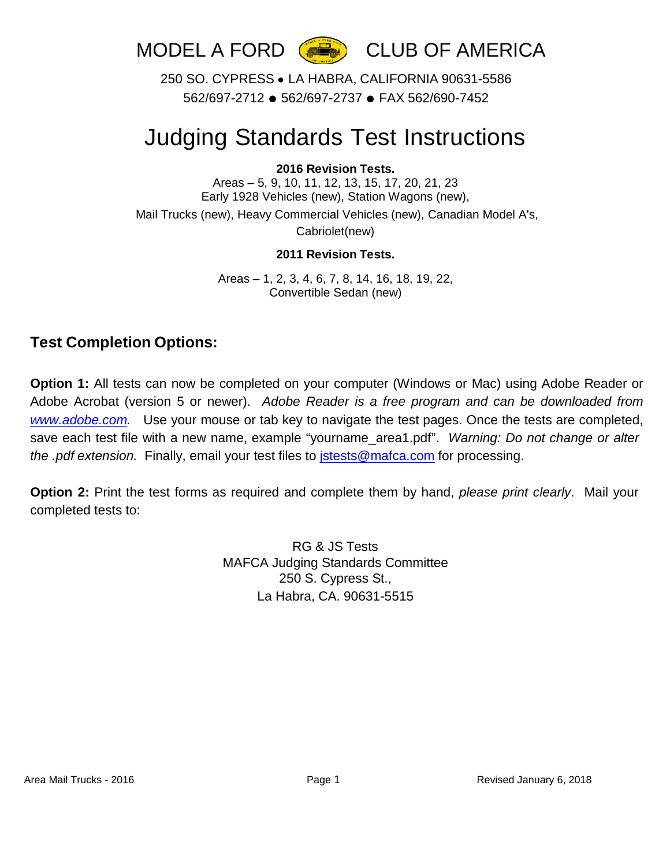

250 SO. CYPRESS ● LA HABRA, CALIFORNIA 90631-5586 562/697-2712 ● 562/697-2737 ● FAX 562/690-7452

# Judging Standards Test Instructions

#### **2016 Revision Tests.**

Areas – 5, 9, 10, 11, 12, 13, 15, 17, 20, 21, 23 Early 1928 Vehicles (new), Station Wagons (new), Mail Trucks (new), Heavy Commercial Vehicles (new), Canadian Model A's,

Cabriolet(new)

#### **2011 Revision Tests.**

Areas – 1, 2, 3, 4, 6, 7, 8, 14, 16, 18, 19, 22, Convertible Sedan (new)

### **Test Completion Options:**

**Option 1:** All tests can now be completed on your computer (Windows or Mac) using Adobe Reader or Adobe Acrobat (version 5 or newer). *Adobe Reader is a free program and can be downloaded from [www.adobe.com.](http://www.adobe.com/)* Use your mouse or tab key to navigate the test pages. Once the tests are completed, save each test file with a new name, example "yourname\_area1.pdf". *Warning: Do not change or alter the .pdf extension.* Finally, email your test files to [jstests@mafca.com](mailto:jstests@mafca.com) for processing.

**Option 2:** Print the test forms as required and complete them by hand, *please print clearly*. Mail your completed tests to:

> RG & JS Tests MAFCA Judging Standards Committee 250 S. Cypress St., La Habra, CA. 90631-5515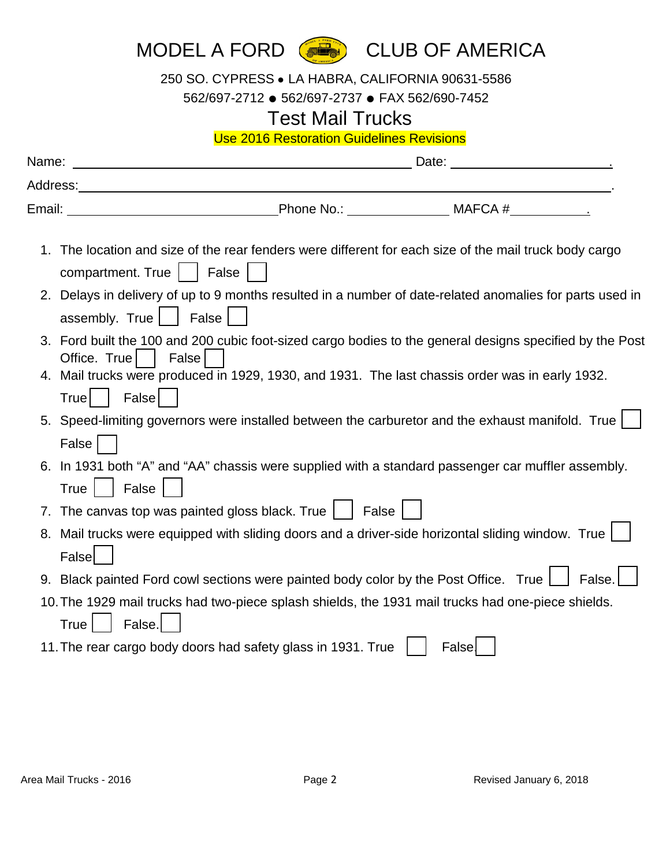| MODEL A FORD ( CLUB OF AMERICA |  |
|--------------------------------|--|
|--------------------------------|--|

250 SO. CYPRESS ● LA HABRA, CALIFORNIA 90631-5586

562/697-2712 ● 562/697-2737 ● FAX 562/690-7452

## Test Mail Trucks

Use 2016 Restoration Guidelines Revisions

| Name:                             | Date:<br><u> 1980 - Jan Samuel Barbara, martin de la propincia de la propincia de la propincia de la propincia de la propi</u><br>the contract of the contract of the contract of                                              |                                                                                                          |
|-----------------------------------|--------------------------------------------------------------------------------------------------------------------------------------------------------------------------------------------------------------------------------|----------------------------------------------------------------------------------------------------------|
|                                   | Address: Analysis and the contract of the contract of the contract of the contract of the contract of the contract of the contract of the contract of the contract of the contract of the contract of the contract of the cont |                                                                                                          |
| Email:                            |                                                                                                                                                                                                                                | Phone No.: MAFCA #                                                                                       |
| 1.<br>compartment. True     False | The location and size of the rear fenders were different for each size of the mail truck body cargo                                                                                                                            |                                                                                                          |
| assembly. True                    | False                                                                                                                                                                                                                          | 2. Delays in delivery of up to 9 months resulted in a number of date-related anomalies for parts used in |
| Office. True                      | False                                                                                                                                                                                                                          | 3. Ford built the 100 and 200 cubic foot-sized cargo bodies to the general designs specified by the Post |
| False<br>True                     | 4. Mail trucks were produced in 1929, 1930, and 1931. The last chassis order was in early 1932.                                                                                                                                |                                                                                                          |
| False                             | 5. Speed-limiting governors were installed between the carburetor and the exhaust manifold. True                                                                                                                               |                                                                                                          |
| False<br><b>True</b>              | 6. In 1931 both "A" and "AA" chassis were supplied with a standard passenger car muffler assembly.                                                                                                                             |                                                                                                          |
|                                   | 7. The canvas top was painted gloss black. True   False                                                                                                                                                                        |                                                                                                          |
| 8.<br>Falsel                      | Mail trucks were equipped with sliding doors and a driver-side horizontal sliding window. True                                                                                                                                 |                                                                                                          |
|                                   | 9. Black painted Ford cowl sections were painted body color by the Post Office. True                                                                                                                                           | False.                                                                                                   |
| False.<br>True                    | 10. The 1929 mail trucks had two-piece splash shields, the 1931 mail trucks had one-piece shields.                                                                                                                             |                                                                                                          |
|                                   | 11. The rear cargo body doors had safety glass in 1931. True                                                                                                                                                                   | False                                                                                                    |